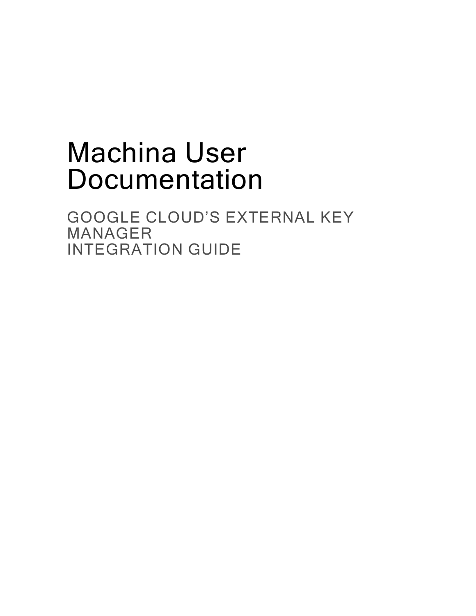# Machina User Documentation

GOOGLE CLOUD'S EXTERNAL KEY MANAGER INTEGRATION GUIDE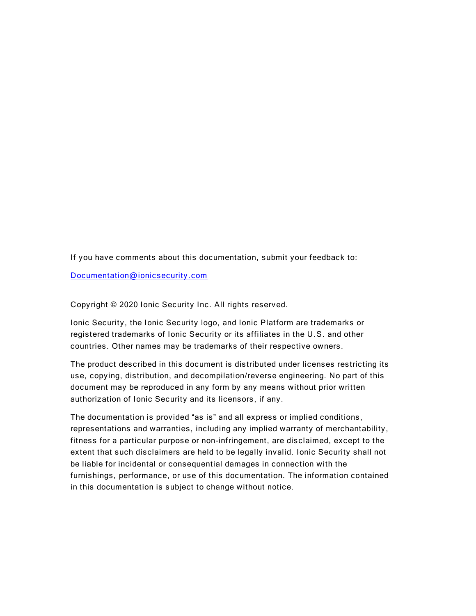If you have comments about this documentation, submit your feedback to:

Documentation@ionicsecurity.com

Copy right © 2020 Ionic Security Inc. All rights reserved.

Ionic Security, the Ionic Security logo, and Ionic Platform are trademarks or registered trademarks of Ionic Security or its affiliates in the U.S. and other countries. Other names may be trademarks of their respective owners.

The product described in this document is distributed under licenses restricting its use, copying, distribution, and decompilation/reverse engineering. No part of this document may be reproduced in any form by any means without prior written authorization of Ionic Security and its licensors, if any.

The documentation is provided "as is" and all express or implied conditions, representations and warranties, including any implied warranty of merchantability, fitness for a particular purpose or non-infringement, are disclaimed, except to the extent that such dis claimers are held to be legally invalid. Ionic Security shall not be liable for incidental or consequential damages in connection with the furnishings, performance, or use of this documentation. The information contained in this documentation is subject to change without notice.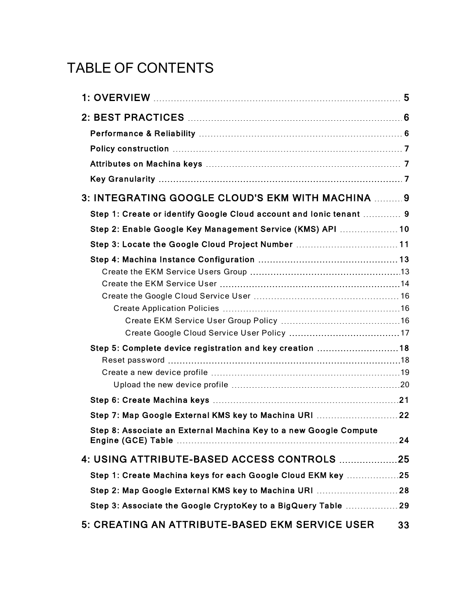## TABLE OF CONTENTS

| 3: INTEGRATING GOOGLE CLOUD'S EKM WITH MACHINA  9                   |     |
|---------------------------------------------------------------------|-----|
| Step 1: Create or identify Google Cloud account and lonic tenant  9 |     |
| Step 2: Enable Google Key Management Service (KMS) API  10          |     |
| Step 3: Locate the Google Cloud Project Number  11                  |     |
|                                                                     |     |
|                                                                     |     |
|                                                                     |     |
|                                                                     |     |
|                                                                     |     |
|                                                                     |     |
| Step 5: Complete device registration and key creation 18            |     |
|                                                                     |     |
|                                                                     |     |
|                                                                     |     |
| Step 7: Map Google External KMS key to Machina URI  22              |     |
| Step 8: Associate an External Machina Key to a new Google Compute   | .24 |
| 4: USING ATTRIBUTE-BASED ACCESS CONTROLS  25                        |     |
| Step 1: Create Machina keys for each Google Cloud EKM key 25        |     |
| Step 2: Map Google External KMS key to Machina URI  28              |     |
| Step 3: Associate the Google CryptoKey to a BigQuery Table 29       |     |
| 5: CREATING AN ATTRIBUTE-BASED EKM SERVICE USER                     | 33  |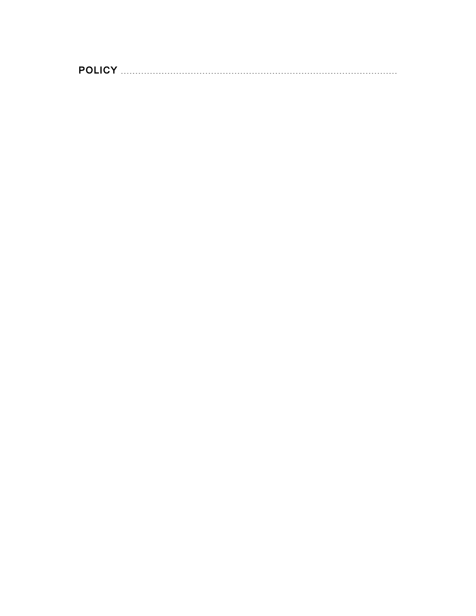[POLICY](#page-32-0)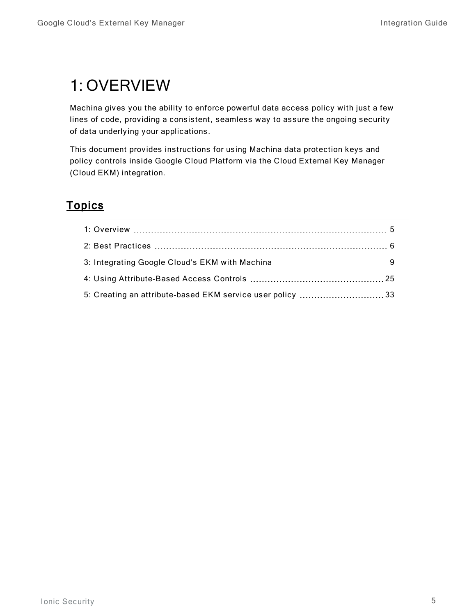## <span id="page-4-0"></span>1: OVERVIEW

Machina gives you the ability to enforce powerful data access policy with just a few lines of code, providing a consistent, seamless way to assure the ongoing security of data underlying your applications.

This document provides instructions for using Machina data protection keys and policy controls inside Google Cloud Platform via the Cloud External Key Manager (Cloud EKM) integration.

### **Topics**

| 5: Creating an attribute-based EKM service user policy 33 |  |
|-----------------------------------------------------------|--|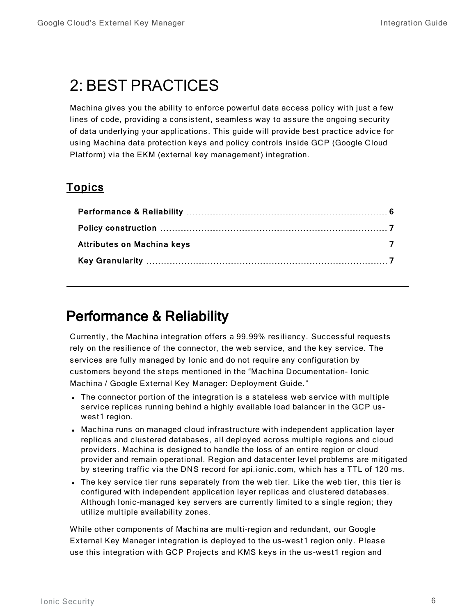## <span id="page-5-0"></span>2: BEST PRACTICES

Machina gives you the ability to enforce powerful data access policy with just a few lines of code, providing a consistent, seamless way to assure the ongoing security of data underlying your applications. This guide will provide best practice advice for using Machina data protection keys and policy controls inside GCP (Google Cloud Platform) via the EKM (external key management) integration.

### **Topics**

### <span id="page-5-1"></span>Performance & Reliability

Currently, the Machina integration offers a 99.99% resiliency. Successful requests rely on the resilience of the connector, the web service, and the key service. The services are fully managed by Ionic and do not require any configuration by customers beyond the steps mentioned in the "Machina Documentation- Ionic Machina / Google External Key Manager: Deployment Guide. "

- The connector portion of the integration is a stateless web service with multiple service replicas running behind a highly available load balancer in the GCP uswest1 region.
- Machina runs on managed cloud infrastructure with independent application layer replicas and clustered databases, all deployed across multiple regions and cloud providers. Machina is designed to handle the loss of an entire region or cloud provider and remain operational. Region and datacenter level problems are mitigated by steering traffic via the DNS record for api.ionic.com, which has a TTL of 120 ms.
- The key service tier runs separately from the web tier. Like the web tier, this tier is configured with independent application layer replicas and clustered databases. Although Ionic -managed key servers are currently limited to a single region; they utilize multiple availability zones.

While other components of Machina are multi-region and redundant, our Google External Key Manager integration is deployed to the us -west1 region only. Please use this integration with GCP Projects and KMS keys in the us-west1 region and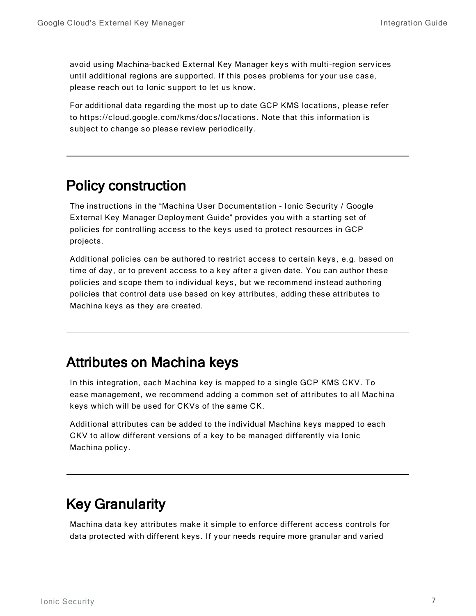avoid using Machina-backed External Key Manager keys with multi-region services until additional regions are supported. If this poses problems for your use case, please reach out to Ionic support to let us know.

For additional data regarding the most up to date GCP KMS locations, please refer to https://cloud.google.com/kms/doc s/locations. Note that this information is subject to change so please review periodically.

### <span id="page-6-0"></span>Policy construction

The instructions in the "Machina User Documentation - Ionic Security / Google External Key Manager Deployment Guide" provides you with a starting set of policies for controlling access to the keys used to protect resources in GCP projects.

Additional policies can be authored to restrict access to certain keys, e.g. based on time of day, or to prevent access to a key after a given date. You can author these policies and scope them to individual keys, but we recommend instead authoring policies that control data use based on key attributes, adding these attributes to Machina keys as they are created.

### <span id="page-6-1"></span>Attributes on Machina keys

In this integration, each Machina key is mapped to a single GCP KMS CKV. To ease management, we recommend adding a common set of attributes to all Machina keys which will be used for CKVs of the same CK.

Additional attributes can be added to the individual Machina keys mapped to each CKV to allow different versions of a key to be managed differently via Ionic Machina policy.

### <span id="page-6-2"></span>Key Granularity

Machina data key attributes make it simple to enforce different access controls for data protected with different keys. If your needs require more granular and varied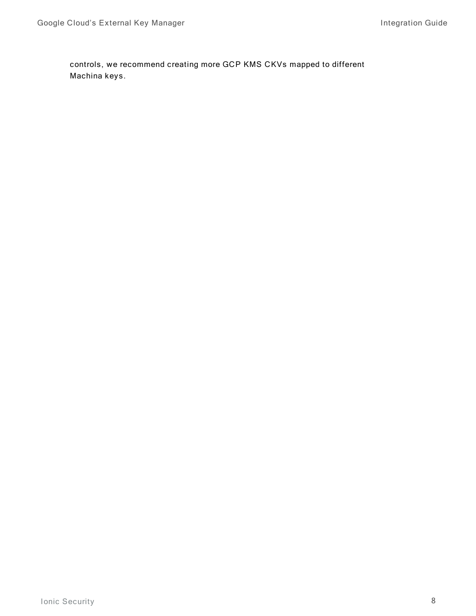controls, we recommend creating more GCP KMS CKVs mapped to different Machina keys.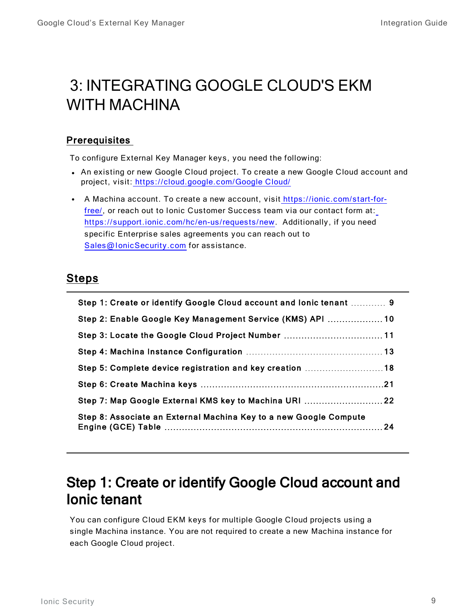## <span id="page-8-0"></span>3: INTEGRATING GOOGLE CLOUD'S EKM WITH MACHINA

#### **Prerequisites**

To configure External Key Manager keys, you need the following:

- An existing or new Google Cloud project. To create a new Google Cloud account and project, visit: [https://cloud.google.com/Google](https://cloud.google.com/gcp/) Cloud/
- A Machina account. To create a new account, visit https://ionic.com/start-forfree/, or reach out to Ionic Customer Success team via our contact form at: https://support.ionic.com/hc/en-us/requests/new. Additionally, if you need specific Enterprise sales agreements you can reach out to [Sales@IonicSecurity.com](mailto:Sales@IonicSecurity.com) for assistance.

#### Steps

| Step 1: Create or identify Google Cloud account and lonic tenant  9 |  |
|---------------------------------------------------------------------|--|
| Step 2: Enable Google Key Management Service (KMS) API  10          |  |
| Step 3: Locate the Google Cloud Project Number  11                  |  |
|                                                                     |  |
| Step 5: Complete device registration and key creation 18            |  |
|                                                                     |  |
| Step 7: Map Google External KMS key to Machina URI  22              |  |
| Step 8: Associate an External Machina Key to a new Google Compute   |  |

### <span id="page-8-1"></span>Step 1: Create or identify Google Cloud account and Ionic tenant

You can configure Cloud EKM keys for multiple Google Cloud projects using a single Machina instance. You are not required to create a new Machina instance for each Google Cloud project.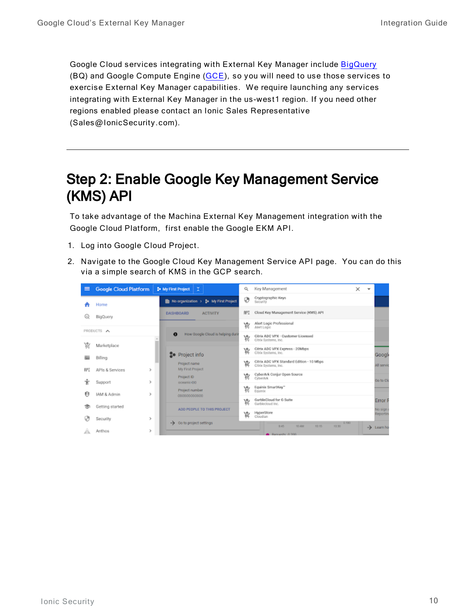Google Cloud services integrating with External Key Manager include [BigQuery](https://cloud.google.com/bigquery/docs/customer-managed-encryption) (BQ) and Google Compute Engine ([GCE\)](https://cloud.google.com/compute/docs/disks/customer-supplied-encryption), so you will need to use those services to exercise External Key Manager capabilities. We require launching any services integrating with External Key Manager in the us -west1 region. If you need other regions enabled please contact an Ionic Sales Representative (Sales@IonicSecurity.com).

### <span id="page-9-0"></span>Step 2: Enable Google Key Management Service (KMS) API

To take advantage of the Machina External Key Management integration with the Google Cloud Platform, first enable the Google EKM API.

- 1. Log into Google Cloud Project.
- 2. Navigate to the Google Cloud Key Management Service API page. You can do this via a simple search of KMS in the GCP search.

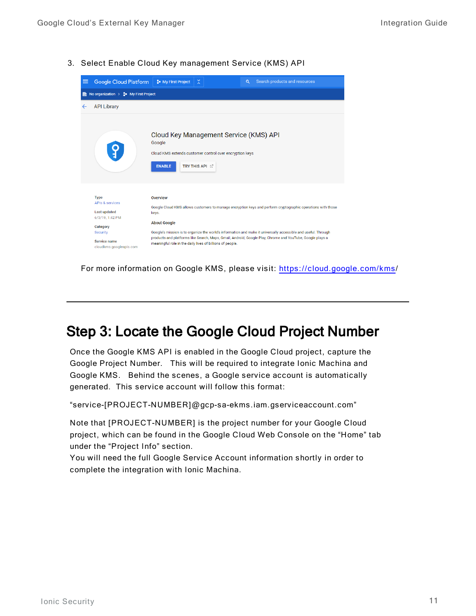3. Select Enable Cloud Key management Service (KMS) API



For more information on Google KMS, please visit: [https://cloud.google.com/kms](https://cloud.google.com/kms/)/

### <span id="page-10-0"></span>Step 3: Locate the Google Cloud Project Number

Once the Google KMS API is enabled in the Google Cloud project, capture the Google Project Number. This will be required to integrate Ionic Machina and Google KMS. Behind the scenes, a Google service account is automatically generated. This service account will follow this format:

"service-[PROJECT-NUMBER]@gcp-sa-ekms.iam.gserviceac count.com"

Note that [PROJECT-NUMBER] is the project number for your Google Cloud project, which can be found in the Google Cloud Web Console on the "Home" tab under the "Project Info" section.

You will need the full Google Service Account information shortly in order to complete the integration with Ionic Machina.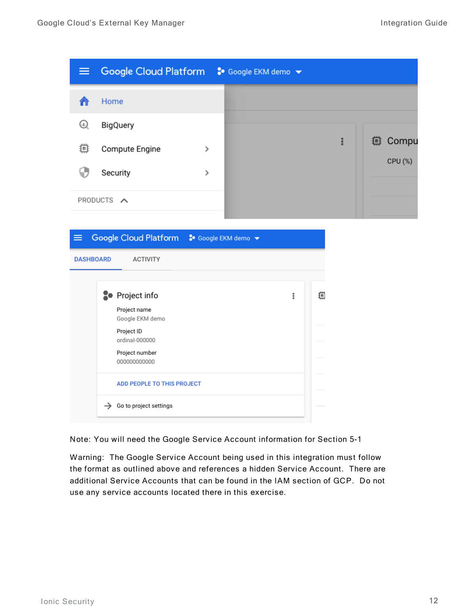

| $\equiv$         | Google Cloud Platform : Google EKM demo v |   |   |
|------------------|-------------------------------------------|---|---|
| <b>DASHBOARD</b> | <b>ACTIVITY</b>                           |   |   |
|                  |                                           |   |   |
|                  | <b>2</b> Project info                     | ፧ | 痼 |
|                  | Project name<br>Google EKM demo           |   |   |
|                  | Project ID<br>ordinal-000000              |   |   |
|                  | Project number<br>000000000000            |   |   |
|                  | <b>ADD PEOPLE TO THIS PROJECT</b>         |   |   |
| $\rightarrow$    | Go to project settings                    |   |   |

Note: You will need the Google Service Account information for Section 5-1

Warning: The Google Service Account being used in this integration must follow the format as outlined above and references a hidden Service Account. There are additional Service Ac counts that can be found in the IAM section of GCP. Do not use any service accounts located there in this exercise.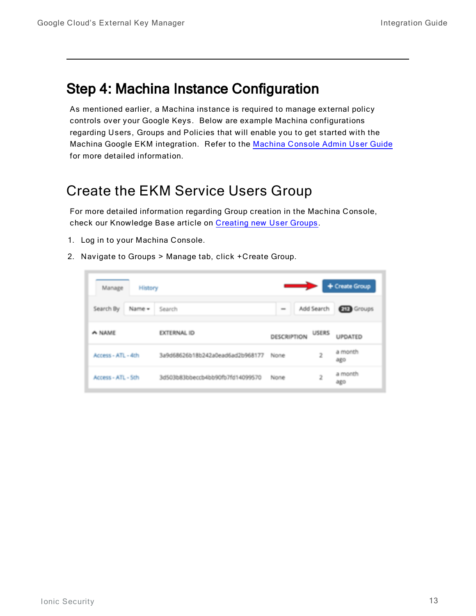### <span id="page-12-0"></span>Step 4: Machina Instance Configuration

As mentioned earlier, a Machina instance is required to manage external policy controls over your Google Keys. Below are example Machina configurations regarding Users, Groups and Policies that will enable you to get started with the [Machina](https://support.ionic.com/hc/en-us/categories/360002018954-User-and-System-Documentation) Google EKM integration. Refer to the Machina Console Admin User Guide for more detailed information.

### <span id="page-12-1"></span>Create the EKM Service Users Group

For more detailed information regarding Group creation in the Machina Console, check our Knowledge Base article on Creating new User Groups.

- 1. Log in to your Machina Console.
- 2. Navigate to Groups > Manage tab, click +Create Group.

| Manage             | History |                                  |             |              | + Create Group    |
|--------------------|---------|----------------------------------|-------------|--------------|-------------------|
| Search By          | Name -  | Search                           | $\sim$      | Add Search   | <b>CIE</b> Groups |
| A NAME             |         | <b>EXTERNAL ID</b>               | DESCRIPTION | <b>USERS</b> | UPDATED           |
| Access - ATL - 4th |         | 3a9d68626b18b242a0ead6ad2b968177 | None        | 2            | a month<br>改造の    |
| Access - ATL - Sth |         | 3d503b83bbeccb4bb90fb7fd14099570 | None        | 2            | a month<br>改造     |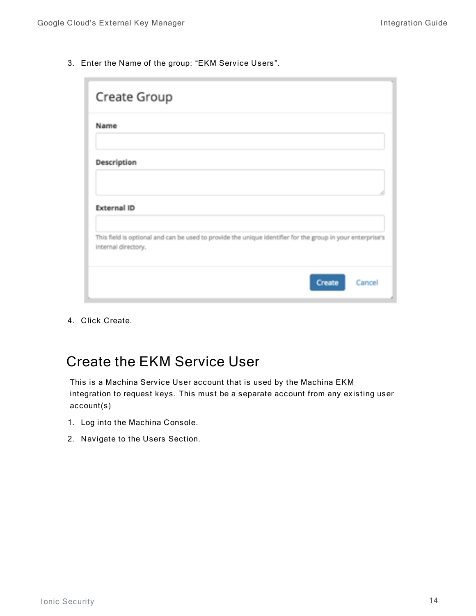3. Enter the Name of the group: "EKM Service Users".

| Create Group                                                                                                                      |
|-----------------------------------------------------------------------------------------------------------------------------------|
| Name                                                                                                                              |
| Description                                                                                                                       |
| <b>External ID</b>                                                                                                                |
| This field is optional and can be used to provide the unique identifier for the group in your enterprise's<br>internal directory. |
| Create<br>Cancel                                                                                                                  |

4. Click Create.

### <span id="page-13-0"></span>Create the EKM Service User

This is a Machina Service User account that is used by the Machina EKM integration to request keys. This must be a separate account from any existing user account(s)

- 1. Log into the Machina Console.
- 2. Navigate to the Users Section.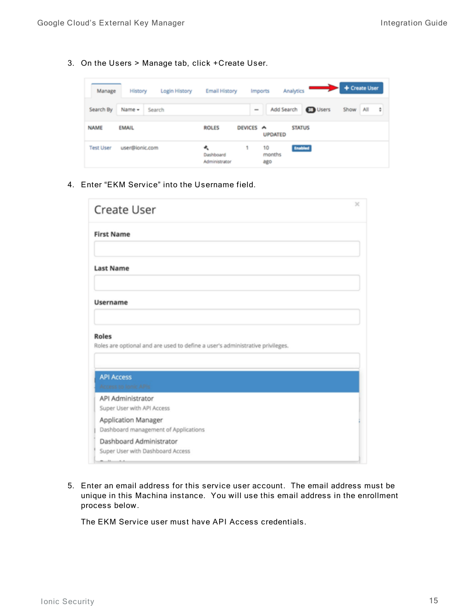3. On the Users > Manage tab, click +Create User.

| Manage           | History        | Login History | <b>Email History</b>            |                         | <b>Imports</b>      | Analytics       | + Create User    |
|------------------|----------------|---------------|---------------------------------|-------------------------|---------------------|-----------------|------------------|
| Search By        | Name -         | Search        |                                 | $\qquad \qquad =\qquad$ | Add Search          | <b>ET Users</b> | Show<br>÷<br>All |
| NAME             | <b>EMAIL</b>   |               | <b>ROLES</b>                    | DEVICES A               | <b>UPDATED</b>      | <b>STATUS</b>   |                  |
| <b>Test User</b> | user@ionic.com |               | ۰<br>Dashboard<br>Administrator | 1                       | 10<br>months<br>ago | <b>Enabled</b>  |                  |

4. Enter "EKM Service" into the Username field.

| Create User                                                                                   | × |
|-----------------------------------------------------------------------------------------------|---|
| <b>First Name</b>                                                                             |   |
|                                                                                               |   |
| <b>Last Name</b>                                                                              |   |
| <b>Username</b>                                                                               |   |
|                                                                                               |   |
| <b>Roles</b><br>Roles are optional and are used to define a user's administrative privileges. |   |
| <b>API Access</b><br>Access to Jonic APIs                                                     |   |
| API Administrator<br>Super User with API Access                                               |   |
| Application Manager<br>Dashboard management of Applications                                   |   |
| Dashboard Administrator<br>Super User with Dashboard Access                                   |   |

5. Enter an email address for this service user account. The email address must be unique in this Machina instance. You will use this email address in the enrollment process below.

The EKM Service user must have API Access credentials.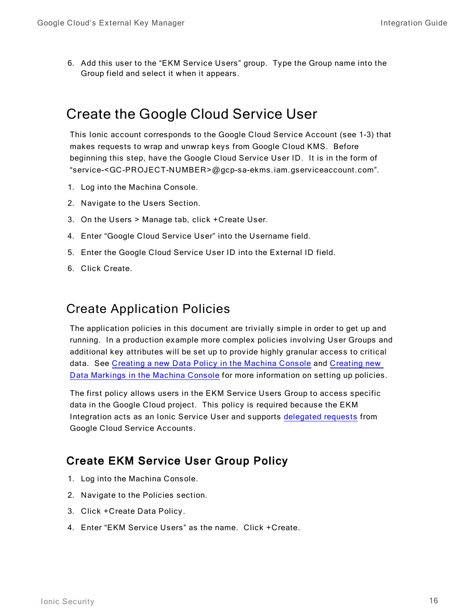6. Add this user to the "EKM Service Users" group. Type the Group name into the Group field and select it when it appears.

### <span id="page-15-0"></span>Create the Google Cloud Service User

This Ionic account corresponds to the Google Cloud Service Account (see 1-3) that makes requests to wrap and unwrap keys from Google Cloud KMS. Before beginning this step, have the Google Cloud Service User ID. It is in the form of "service-<GC -PROJECT-NUMBER>@gcp-sa-ekms.iam.gserviceac count.com".

- 1. Log into the Machina Console.
- 2. Navigate to the Users Section.
- 3. On the Users  $>$  Manage tab, click +C reate User.
- 4. Enter "Google Cloud Service User" into the Username field.
- 5. Enter the Google Cloud Service User ID into the External ID field.
- 6. Click Create.

#### <span id="page-15-1"></span>Create Application Policies

The application policies in this document are trivially simple in order to get up and running. In a production example more complex policies involving User Groups and additional key attributes will be set up to provide highly granular access to critical data. See Creating a new Data Policy in the Machina Console and Creating new Data [Markings](https://support.ionic.com/hc/en-us/articles/360042630494-Creating-new-Data-Markings-in-the-Machina-Console) in the Machina Console for more information on setting up policies.

The first policy allows users in the EKM Service Users Group to access specific data in the Google Cloud project. This policy is required because the EKM Integration acts as an Ionic Service User and supports [delegated](https://dev.ionic.com/platform/policy/delegated-requests) requests from Google Cloud Service Accounts.

#### <span id="page-15-2"></span>**Create EKM Service User Group Policy**

- 1. Log into the Machina Console.
- 2. Navigate to the Policies section.
- 3. Click + Create Data Policy.
- 4. Enter "EKM Service Users" as the name. Click +Create.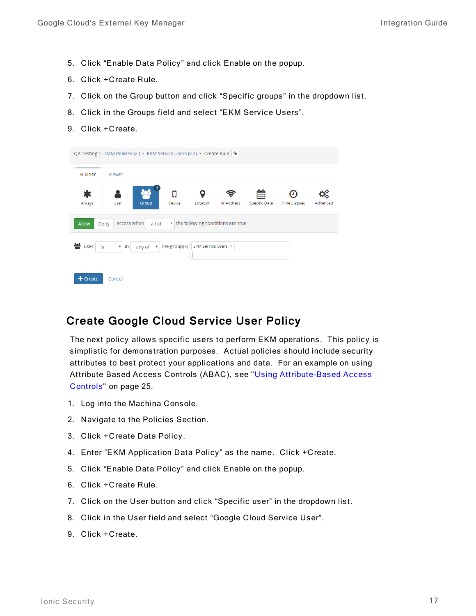- 5. Click "Enable Data Policy" and click Enable on the popup.
- 6. Click + Create Rule.
- 7. Click on the Group button and click "Specific groups" in the dropdown list.
- 8. Click in the Groups field and select "EKM Service Users".
- 9. Click +Create.

|                   | QA Testing > Data Policies (v.) > EKM Service Users (v.2) > Create Rule $\sqrt{ }$ |                                         |                     |                                    |                           |                     |          |
|-------------------|------------------------------------------------------------------------------------|-----------------------------------------|---------------------|------------------------------------|---------------------------|---------------------|----------|
| <b>Builder</b>    | Viewer                                                                             |                                         |                     |                                    |                           |                     |          |
| Ж<br>Always       | Group<br>User                                                                      | п<br>Device                             | Location            | IP Address                         | ⊞<br><b>Specific Date</b> | <b>Time Elapsed</b> | Advanced |
| <b>Allow</b>      | access when<br>Deny                                                                | all of                                  |                     | the following conditions are true: |                           |                     |          |
| 808<br>user<br>is | $\overline{v}$ in<br>any of                                                        | the group(s)<br>$\overline{\mathbf{v}}$ | EKM Service Users X |                                    |                           |                     |          |
| $+$ Create        | Cancel                                                                             |                                         |                     |                                    |                           |                     |          |

#### <span id="page-16-0"></span>Create Google Cloud Service User Policy

The next policy allows specific users to perform EKM operations. This policy is simplistic for demonstration purposes. Actual policies should include security attributes to best protect your applications and data. For an example on using Attribute Based Access Controls (ABAC), see "Using Attribute-Based Access Controls" on page 25.

- 1. Log into the Machina Console.
- 2. Navigate to the Policies Section.
- 3. Click + Create Data Policy.
- 4. Enter "EKM Application Data Policy" as the name. Click +Create.
- 5. Click "Enable Data Policy" and click Enable on the popup.
- 6. Click + Create Rule.
- 7. Click on the User button and click "Specific user" in the dropdown list.
- 8. Click in the User field and select "Google Cloud Service User".
- 9. Click + Create.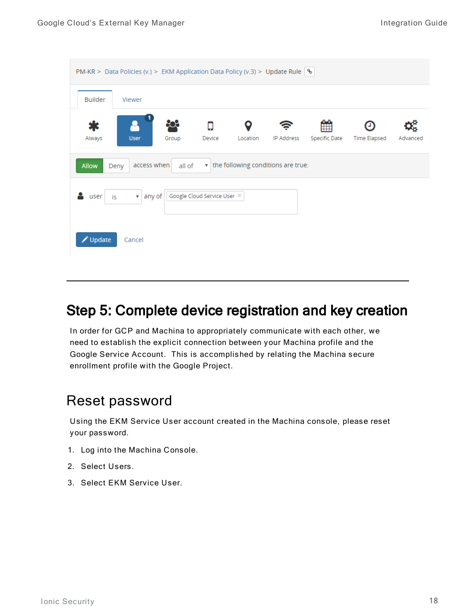|                | PM-KR > Data Policies (v.) > EKM Application Data Policy (v.3) > Update Rule $\sqrt{ }$ |        |                             |               |                                    |                    |                     |          |
|----------------|-----------------------------------------------------------------------------------------|--------|-----------------------------|---------------|------------------------------------|--------------------|---------------------|----------|
| <b>Builder</b> | Viewer                                                                                  |        |                             |               |                                    |                    |                     |          |
| Always         | <b>User</b>                                                                             | Group  | Q<br>Device                 | о<br>Location | IP Address                         | ₩<br>Specific Date | <b>Time Elapsed</b> | Advanced |
| <b>Allow</b>   | access when<br>Deny                                                                     | all of |                             |               | the following conditions are true: |                    |                     |          |
| user           | any of<br>$\mathbf{v}$<br>is                                                            |        | Google Cloud Service User X |               |                                    |                    |                     |          |
| Update         | Cancel                                                                                  |        |                             |               |                                    |                    |                     |          |

### <span id="page-17-0"></span>Step 5: Complete device registration and key creation

In order for GCP and Machina to appropriately communicate with each other, we need to establish the explicit connection between your Machina profile and the Google Service Account. This is accomplished by relating the Machina secure enrollment profile with the Google Project.

### <span id="page-17-1"></span>Reset password

Using the EKM Service User account created in the Machina console, please reset your password.

- 1. Log into the Machina Console.
- 2. Select Users.
- 3. Select EKM Service User.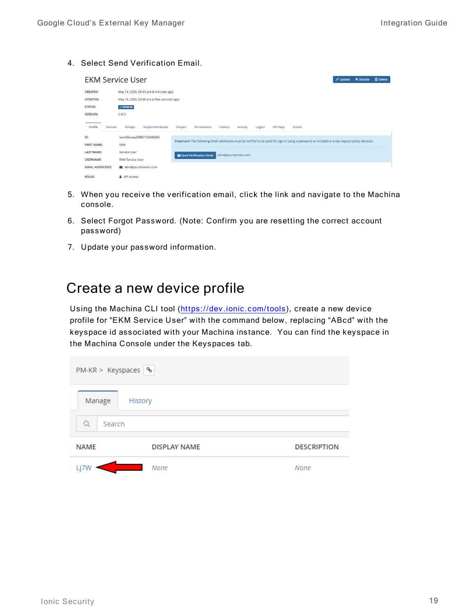4. Select Send Verification Email.

| <b>EKM Service User</b>               |                                            |                                                                                                                                                 | <b>ID</b> Delete<br><b>X</b> Disable<br>Update |
|---------------------------------------|--------------------------------------------|-------------------------------------------------------------------------------------------------------------------------------------------------|------------------------------------------------|
| <b>CREATED:</b>                       | May 19, 2020, 03:43 pm (6 minutes ago)     |                                                                                                                                                 |                                                |
| <b>UPDATED:</b>                       | May 19, 2020, 03:48 pm (a few seconds ago) |                                                                                                                                                 |                                                |
| <b>STATUS:</b>                        | $\checkmark$ ENABLED                       |                                                                                                                                                 |                                                |
| <b>VERSION:</b>                       | 2 of 2                                     |                                                                                                                                                 |                                                |
| Profile<br><b>Devices</b>             | Groups<br><b>Subject Attributes</b>        | Activity<br><b>API Keys</b><br>Permissions<br>History<br>Emails<br>Scopes<br>Logins                                                             |                                                |
| ID:<br><b>FIRST NAME:</b>             | 5ec436caaa298877c0488d93<br><b>EKM</b>     | Important! The following email addresses must be verified to be used for sign in using a password or included in a key request policy decision. |                                                |
| <b>LAST NAME:</b><br><b>USERNAME:</b> | Service User<br><b>EKM Service User</b>    | ekm@yourdomain.com<br>Send Verification Email                                                                                                   |                                                |
| <b>EMAIL ADDRESSES:</b>               | ekm@yourdomain.com                         |                                                                                                                                                 |                                                |
| <b>ROLES:</b>                         | <b>&amp; API Access</b>                    |                                                                                                                                                 |                                                |

- 5. When you receive the verification email, click the link and navigate to the Machina console.
- 6. Select Forgot Password. (Note: Confirm you are resetting the correct account password)
- 7. Update your password information.

### <span id="page-18-0"></span>Create a new device profile

Using the Machina CLI tool [\(https://dev.ionic.com/tools](https://dev.ionic.com/tools)), create a new device profile for "EKM Service User" with the command below, replacing "ABcd" with the key space id as sociated with your Machina instance. You can find the key space in the Machina Console under the Keyspaces tab.

| $PM-KR >$ Keyspaces $\frac{6}{5}$ |                     |                     |  |  |  |  |
|-----------------------------------|---------------------|---------------------|--|--|--|--|
| Manage                            | History             |                     |  |  |  |  |
| Q<br>Search                       |                     |                     |  |  |  |  |
| <b>NAME</b>                       | <b>DISPLAY NAME</b> | <b>DESCRIPTION</b>  |  |  |  |  |
| Li7W                              | <b>None</b>         | None<br><b>STEP</b> |  |  |  |  |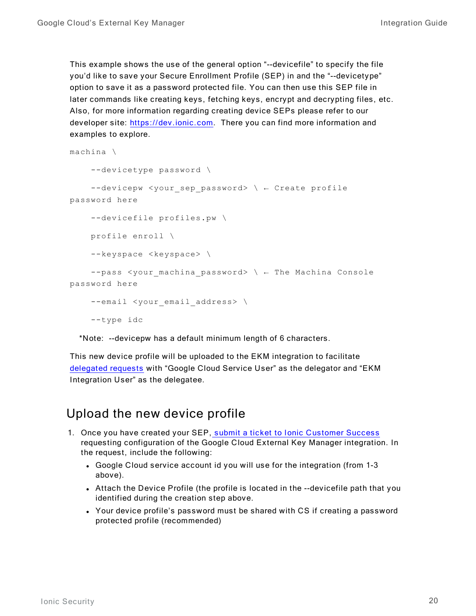This example shows the use of the general option "--devicefile" to specify the file you'd like to save your Secure Enrollment Profile (SEP) in and the "--devicetype" option to save it as a password protected file. You can then use this SEP file in later commands like creating keys, fetching keys, encrypt and decrypting files, etc. Also, for more information regarding creating device SEPs please refer to our developer site: [https://dev.ionic.com](https://dev.ionic.com/). There you can find more information and examples to explore.

```
machina \
    --devicetype password \
    --devicepw <your sep password> \ ← Create profile
password here
    --devicefile profiles.pw \
    profile enroll \
    --keyspace <keyspace> \
    --pass <your_machina_password> \ ← The Machina Console
password here
    --email <your email address> \
    --type idc
```
\*Note: --devicepw has a default minimum length of 6 characters.

This new device profile will be uploaded to the EKM integration to facilitate [delegated](https://dev.ionic.com/platform/policy/delegated-requests) requests with "Google Cloud Service U ser" as the delegator and "EKM Integration User" as the delegatee.

### <span id="page-19-0"></span>Upload the new device profile

- 1. Once you have created your SEP, submit a ticket to Ionic Customer Success requesting configuration of the Google Cloud External Key Manager integration. In the request, include the following:
	- Google Cloud service account id you will use for the integration (from 1-3 above).
	- Attach the Device Profile (the profile is located in the --devicefile path that you identified during the creation step above.
	- Your device profile's password must be shared with CS if creating a password protected profile (recommended)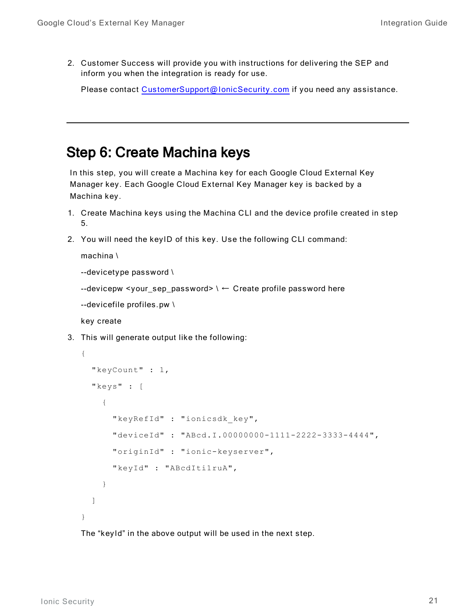2. Customer Success will provide you with instructions for delivering the SEP and inform you when the integration is ready for use.

Please contact [CustomerSupport@IonicSecurity.com](mailto:CustomerSupport@IonicSecurity.com) if you need any assistance.

### <span id="page-20-0"></span>Step 6: Create Machina keys

In this step, you will create a Machina key for each Google Cloud External Key Manager key. Each Google Cloud External Key Manager key is backed by a Machina key.

- 1. Create Machina keys using the Machina CLI and the device profile created in step 5.
- 2. You will need the keyID of this key. Use the following CLI command:

machina \

```
-devicetype password \
```

```
--devicepw <your_sep_password> \backslash \leftarrow Create profile password here
```

```
--devicefile profiles.pw \
```
key create

3. This will generate output like the following:

```
{
  "keyCount" : 1,
  "keys" : [
    {
      "keyRefId" : "ionicsdk_key",
      "deviceId" : "ABcd.I.00000000-1111-2222-3333-4444",
      "originId" : "ionic-keyserver",
      "keyId" : "ABcdIti1ruA",
    }
  ]
}
```
The "keyId" in the above output will be used in the next step.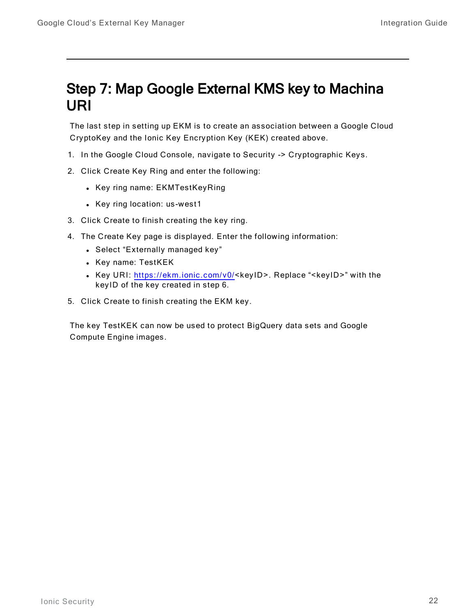### <span id="page-21-0"></span>Step 7: Map Google External KMS key to Machina URI

The last step in setting up EKM is to create an association between a Google Cloud CryptoKey and the Ionic Key Encryption Key (KEK) created above.

- 1. In the Google Cloud Console, navigate to Security -> Cryptographic Keys.
- 2. Click Create Key Ring and enter the following:
	- Key ring name: EKMTestKeyRing
	- Key ring location: us-west1
- 3. Click Create to finish creating the key ring.
- 4. The Create Key page is displayed. Enter the following information:
	- Select "Externally managed key"
	- Key name: TestKEK
	- Key URI: <https://ekm.ionic.com/v0/><keyID>. Replace "<keyID>" with the keyID of the key created in step 6.
- 5. Click Create to finish creating the EKM key.

The key TestKEK can now be used to protect BigQuery data sets and Google Compute Engine images.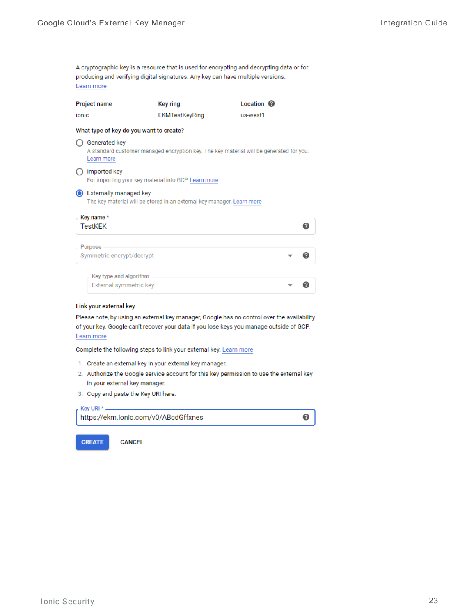A cryptographic key is a resource that is used for encrypting and decrypting data or for producing and verifying digital signatures. Any key can have multiple versions. Learn more

| <b>Project name</b> | Key ring       | Location <sup>@</sup> |  |
|---------------------|----------------|-----------------------|--|
| ionic               | EKMTestKeyRing | us-west1              |  |

#### What type of key do you want to create?

◯ Generated key A standard customer managed encryption key. The key material will be generated for you. Learn more

#### $\bigcirc$  Imported key For importing your key material into GCP. Learn more

Externally managed key

The key material will be stored in an external key manager. Learn more

| Key name *<br><b>TestKEK</b>                     |  |
|--------------------------------------------------|--|
| Purpose<br>Symmetric encrypt/decrypt             |  |
| Key type and algorithm<br>External symmetric key |  |

#### Link your external key

Please note, by using an external key manager, Google has no control over the availability of your key. Google can't recover your data if you lose keys you manage outside of GCP. Learn more

Complete the following steps to link your external key. Learn more

- 1. Create an external key in your external key manager.
- 2. Authorize the Google service account for this key permission to use the external key in your external key manager.

❼

3. Copy and paste the Key URI here.



**CREATE** 

**CANCEL**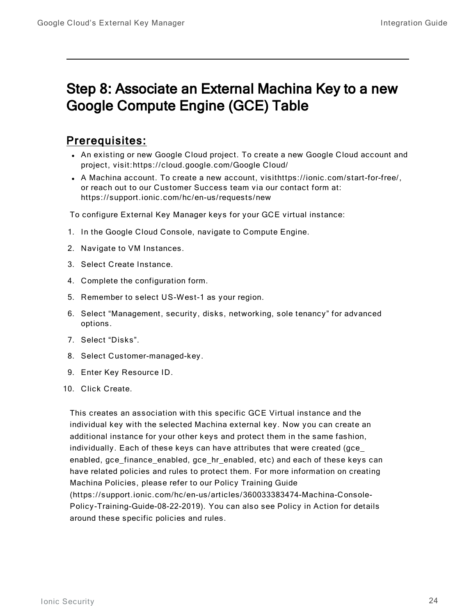### <span id="page-23-0"></span>Step 8: Associate an External Machina Key to a new Google Compute Engine (GCE) Table

#### Prerequisites:

- An existing or new Google Cloud project. To create a new Google Cloud account and project, visit:https://cloud.google.com/Google Cloud/
- A Machina account. To create a new account, visithttps://ionic.com/start-for-free/, or reach out to our Customer Success team via our contact form at: https://support.ionic.com/hc/en-us/ requests/new

To configure External Key Manager keys for your GCE virtual instance:

- 1. In the Google Cloud Console, navigate to Compute Engine.
- 2. Navigate to VM Instances.
- 3. Select Create Instance.
- 4. Complete the configuration form.
- 5. Remember to select US-West-1 as your region.
- 6. Select "Management, security, disks, networking, sole tenancy" for advanced options.
- 7. Select "Disks".
- 8. Select Customer-managed-key.
- 9. Enter Key Resource ID.
- 10. Click Create.

This creates an association with this specific GCE Virtual instance and the individual key with the selected Machina external key. Now you can create an additional instance for your other keys and protect them in the same fashion, individually. Each of these keys can have attributes that were created (gce\_ enabled, gce\_finance\_enabled, gce\_hr\_enabled, etc) and each of these keys can have related policies and rules to protect them. For more information on creating Machina Policies, please refer to our Policy Training Guide (https://support.ionic.com/hc/en-us/articles/360033383474-Machina-Console-Policy-Training-Guide-08-22-2019). You can also see Policy in Action for details around these specific policies and rules.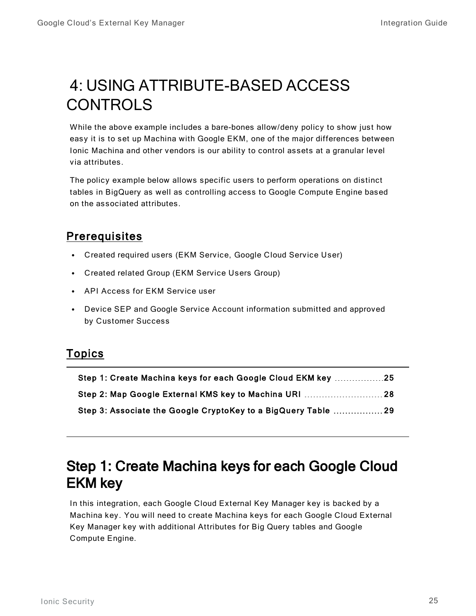# <span id="page-24-0"></span>4: USING ATTRIBUTE-BASED ACCESS CONTROLS

While the above example includes a bare-bones allow/deny policy to show just how easy it is to set up Machina with Google EKM, one of the major differences between Ionic Machina and other vendors is our ability to control assets at a granular level via att ributes.

The policy example below allows specific users to perform operations on distinct tables in BigQuery as well as controlling access to Google Compute Engine based on the associated attributes.

### **Prerequisites**

- Created required users (EKM Service, Google Cloud Service User)
- Created related Group (EKM Service Users Group)
- API Access for EKM Service user
- Device SEP and Google Service Account information submitted and approved by Customer Success

#### Topics

| Step 1: Create Machina keys for each Google Cloud EKM key 25  |  |
|---------------------------------------------------------------|--|
|                                                               |  |
| Step 3: Associate the Google CryptoKey to a BigQuery Table 29 |  |

### <span id="page-24-1"></span>Step 1: Create Machina keys for each Google Cloud EKM key

In this integration, each Google Cloud External Key Manager key is backed by a Machina key. You will need to create Machina keys for each Google Cloud External Key Manager key with additional Att ributes for Big Query tables and Google Compute Engine.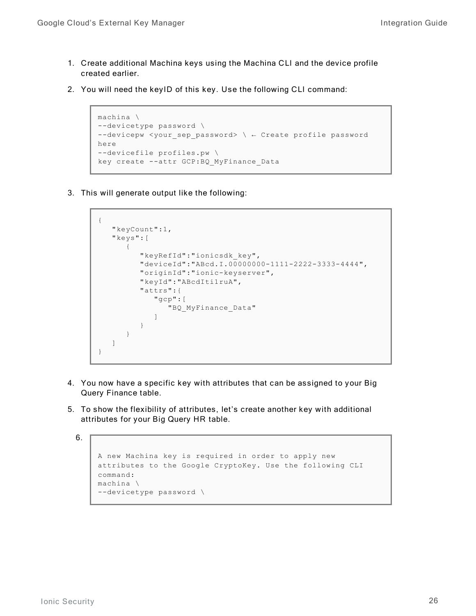- 1. Create additional Machina keys using the Machina CLI and the device profile c reated earlier.
- 2. You will need the keyID of this key. Use the following CLI command:

```
machina \
--devicetype password \
--devicepw <your_sep_password> \ ← Create profile password
here
--devicefile profiles.pw \
key create --attr GCP:BQ_MyFinance_Data
```
3. This will generate output like the following:

```
{
   "keyCount":1,
   "keys":[
      {
         "keyRefId":"ionicsdk_key",
         "deviceId":"ABcd.I.00000000-1111-2222-3333-4444",
         "originId":"ionic-keyserver",
         "keyId":"ABcdIti1ruA",
         "attrs":{
            "gcp":[
               "BQ_MyFinance_Data"
            ]
         }
      }
  ]
}
```
- 4. You now have a specific key with attributes that can be assigned to your Big Query Finance table.
- 5. To show the flexibility of attributes, let's create another key with additional attributes for your Big Query HR table.

```
6.
```

```
A new Machina key is required in order to apply new
attributes to the Google CryptoKey. Use the following CLI
command:
machina \
--devicetype password \
```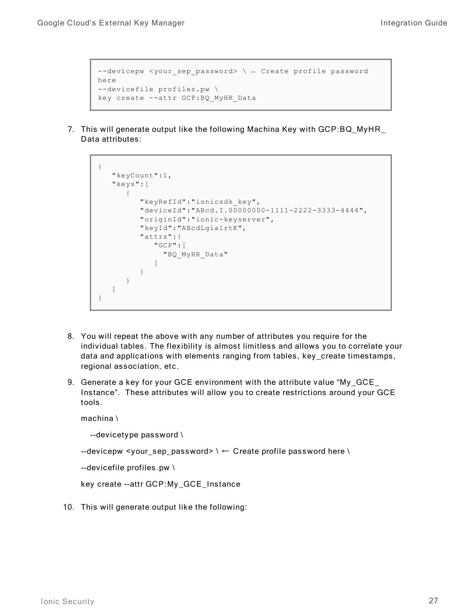```
--devicepw <your_sep_password> \ ← Create profile password
here
--devicefile profiles.pw \
key create --attr GCP:BQ_MyHR_Data
```
7. This will generate output like the following Machina Key with GCP:BQ\_MyHR\_ Data attributes:

```
{
   "keyCount":1,
   "keys":[
      {
         "keyRefId":"ionicsdk_key",
         "deviceId":"ABcd.I.00000000-1111-2222-3333-4444",
         "originId":"ionic-keyserver",
         "keyId":"ABcdLgia1rtK",
         "attrs":{
            "GCP":[
              "BQ_MyHR_Data"
            ]
         }
      }
  ]
}
```
- 8. You will repeat the above with any number of attributes you require for the individual tables. The flexibility is almost limitless and allows you to correlate your data and applications with elements ranging from tables, key\_create timestamps, regional association, etc.
- 9. Generate a key for your GCE environment with the attribute value "My\_GCE Instance". These attributes will allow you to create restrictions around your GCE tools.

machina \

```
-devicetype password \
```

```
-devicepw <your_sep_password> \ \leftarrow Create profile password here \
```
--devicefile profiles.pw \

```
key create --attr GCP:My_GCE_Instance
```
10. This will generate output like the following: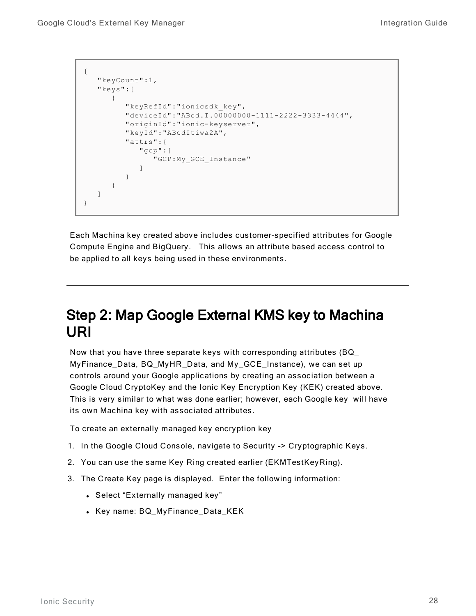```
{ 
   "keyCount":1,
   "keys":[
      {
         "keyRefId":"ionicsdk_key",
         "deviceId":"ABcd.I.00000000-1111-2222-3333-4444",
         "originId":"ionic-keyserver",
         "keyId":"ABcdItiwa2A",
         "attrs":{
            "gcp":[
                "GCP:My_GCE_Instance"
            ]
         }
      }
   ]
}
```
Each Machina key created above includes customer-specified attributes for Google Compute Engine and BigQuery. This allows an attribute based access control to be applied to all keys being used in these environments.

### <span id="page-27-0"></span>Step 2: Map Google External KMS key to Machina URI

Now that you have three separate keys with corresponding attributes  $(BQ)$ MyFinance Data, BQ MyHR Data, and My GCE Instance), we can set up controls around your Google applications by creating an association between a Google Cloud CryptoKey and the Ionic Key Encryption Key (KEK) created above. This is very similar to what was done earlier; however, each Google key will have its own Machina key with associated attributes.

To create an externally managed key encryption key

- 1. In the Google Cloud Console, navigate to Security -> Cryptographic Keys.
- 2. You can use the same Key Ring created earlier (EKMTestKeyRing).
- 3. The Create Key page is displayed. Enter the following information:
	- Select "Externally managed key"
	- Key name: BQ\_MyFinance\_Data\_KEK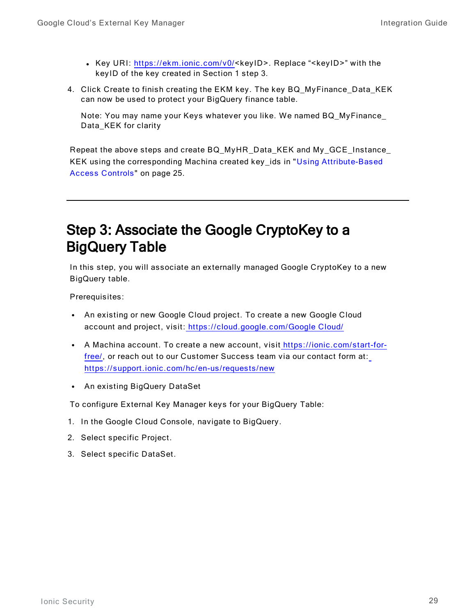- Key URI: <https://ekm.ionic.com/v0/><keyID>. Replace "<keyID>" with the keyID of the key created in Section 1 step 3.
- 4. Click Create to finish creating the EKM key. The key BQ\_MyFinance\_Data\_KEK can now be used to protect your BigQuery finance table.

Note: You may name your Keys whatever you like. We named BQ MyFinance Data\_KEK for clarity

Repeat the above steps and create BQ\_MyHR\_Data\_KEK and My\_GCE\_Instance\_ KEK using the corresponding Machina created key\_ids in "Using Attribute-Based Access Controls" on page 25.

### <span id="page-28-0"></span>Step 3: Associate the Google CryptoKey to a BigQuery Table

In this step, you will associate an externally managed Google CryptoKey to a new BigQuery table.

Prerequisites:

- An existing or new Google Cloud project. To create a new Google Cloud account and project, visit: [https://cloud.google.com/Google](https://cloud.google.com/gcp/) Cloud/
- A Machina account. To create a new account, visit https://ionic.com/start-forfree/, or reach out to our Customer Success team via our contact form at: https://support.ionic.com/hc/en-us/requests/new
- An existing BigQuery DataSet

To configure External Key Manager keys for your BigQuery Table:

- 1. In the Google Cloud Console, navigate to BigQuery.
- 2. Select specific Project.
- 3. Select specific DataSet.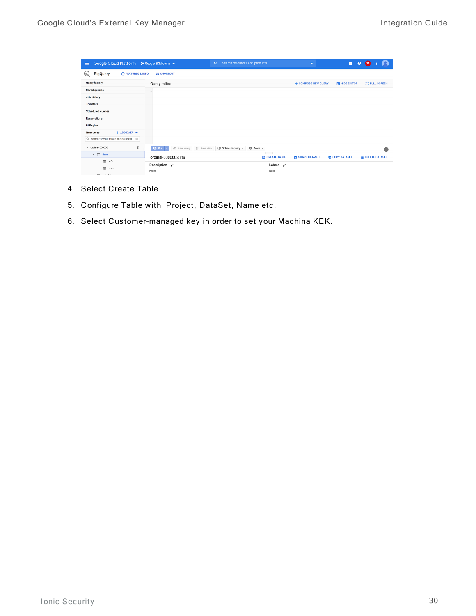| Google Cloud Platform <sup>3</sup> Google EKM demo ▼<br>$\equiv$ | Search resources and products<br>Q                                                                    |                                                 | $\overline{\phantom{a}}$ | $\mathbf{z}$<br>$\bullet$                        |
|------------------------------------------------------------------|-------------------------------------------------------------------------------------------------------|-------------------------------------------------|--------------------------|--------------------------------------------------|
| $^\copyright$<br>BigQuery<br><b>(i) FEATURES &amp; INFO</b>      | <b>ERI SHORTCUT</b>                                                                                   |                                                 |                          |                                                  |
| <b>Query history</b>                                             | Query editor                                                                                          |                                                 | + COMPOSE NEW QUERY      | <b>FLIDE EDITOR</b><br><b>[ ] FULL SCREEN</b>    |
| <b>Saved queries</b>                                             |                                                                                                       |                                                 |                          |                                                  |
| Job history                                                      |                                                                                                       |                                                 |                          |                                                  |
| <b>Transfers</b>                                                 |                                                                                                       |                                                 |                          |                                                  |
| <b>Scheduled queries</b>                                         |                                                                                                       |                                                 |                          |                                                  |
| <b>Reservations</b>                                              |                                                                                                       |                                                 |                          |                                                  |
| <b>BI Engine</b>                                                 |                                                                                                       |                                                 |                          |                                                  |
| $+$ ADD DATA $\blacktriangledown$<br><b>Resources</b>            |                                                                                                       |                                                 |                          |                                                  |
| Q. Search for your tables and datasets<br>$\odot$                |                                                                                                       |                                                 |                          |                                                  |
| ¥<br>$\div$ ordinal-000000                                       | i:i Save view<br><b><i><u><sup>●</sup></u></i></b> Save query<br>① Schedule query ▼<br>$Q$ Run $\sim$ | 章 More +                                        |                          |                                                  |
| $\star$ $\Box$ data                                              | ordinal-000000:data                                                                                   | $\overline{\phantom{a}}$<br><b>CREATE TABLE</b> | SHARE DATASET            | <b>「ID COPY DATASET</b><br><b>DELETE DATASET</b> |
| 區<br>info                                                        | Description /                                                                                         | Labels $\lambda$                                |                          |                                                  |
| 屇<br>nova<br>L. ITT avt data                                     | None                                                                                                  | None                                            |                          |                                                  |

- 4. Select Create Table.
- 5. Configure Table with Project, DataSet, Name etc.
- 6. Select Customer-managed key in order to set your Machina KEK.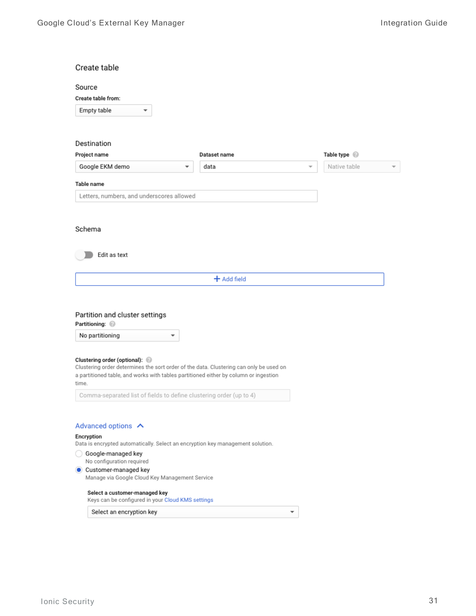| Create table                                                                                                                                                                                                                                    |               |                                          |
|-------------------------------------------------------------------------------------------------------------------------------------------------------------------------------------------------------------------------------------------------|---------------|------------------------------------------|
| Source                                                                                                                                                                                                                                          |               |                                          |
| Create table from:                                                                                                                                                                                                                              |               |                                          |
| Empty table<br>▼                                                                                                                                                                                                                                |               |                                          |
|                                                                                                                                                                                                                                                 |               |                                          |
|                                                                                                                                                                                                                                                 |               |                                          |
| Destination<br>Project name                                                                                                                                                                                                                     | Dataset name  | Table type @                             |
| Google EKM demo<br>▼                                                                                                                                                                                                                            | data          | Native table<br>$\overline{\phantom{a}}$ |
|                                                                                                                                                                                                                                                 |               |                                          |
| Table name                                                                                                                                                                                                                                      |               |                                          |
| Letters, numbers, and underscores allowed                                                                                                                                                                                                       |               |                                          |
|                                                                                                                                                                                                                                                 |               |                                          |
| Schema                                                                                                                                                                                                                                          |               |                                          |
|                                                                                                                                                                                                                                                 |               |                                          |
| Edit as text                                                                                                                                                                                                                                    |               |                                          |
|                                                                                                                                                                                                                                                 |               |                                          |
|                                                                                                                                                                                                                                                 | $+$ Add field |                                          |
| Partition and cluster settings<br>Partitioning: @                                                                                                                                                                                               |               |                                          |
| No partitioning                                                                                                                                                                                                                                 |               |                                          |
| Clustering order (optional): @<br>Clustering order determines the sort order of the data. Clustering can only be used on<br>a partitioned table, and works with tables partitioned either by column or ingestion<br>time.                       |               |                                          |
| Comma-separated list of fields to define clustering order (up to 4)                                                                                                                                                                             |               |                                          |
| Advanced options A<br>Encryption<br>Data is encrypted automatically. Select an encryption key management solution.<br>Google-managed key<br>No configuration required<br>Customer-managed key<br>Manage via Google Cloud Key Management Service |               |                                          |
| Select a customer-managed key<br>Keys can be configured in your Cloud KMS settings                                                                                                                                                              |               |                                          |
| Select an encryption key                                                                                                                                                                                                                        | v             |                                          |
|                                                                                                                                                                                                                                                 |               |                                          |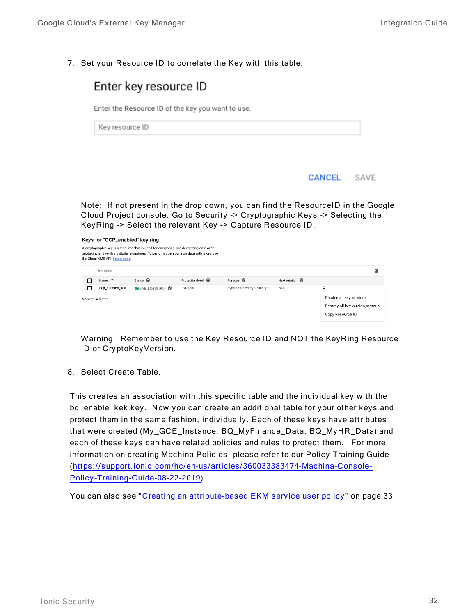7. Set your Resource ID to correlate the Key with this table.



| A cryptographic key is a resource that is used for encrypting and decrypting data or for<br>producing and verifying digital signatures. To perform operations on data with a key, use<br>the Cloud KMS API. Learn more |                 |                     |                               |                           |                 |                                                                                  |
|------------------------------------------------------------------------------------------------------------------------------------------------------------------------------------------------------------------------|-----------------|---------------------|-------------------------------|---------------------------|-----------------|----------------------------------------------------------------------------------|
| Ξ                                                                                                                                                                                                                      | Filter table    |                     |                               |                           |                 | 0                                                                                |
| п                                                                                                                                                                                                                      | Name 个          | Status <sup>@</sup> | Protection level <sup>@</sup> | Purpose <sup>@</sup>      | Next rotation @ |                                                                                  |
| □                                                                                                                                                                                                                      | gcp_enabled_kek | Available in GCP    | External                      | Symmetric encrypt/decrypt | N/A             |                                                                                  |
| No keys selected                                                                                                                                                                                                       |                 |                     |                               |                           |                 | Disable all key versions<br>Destroy all key version material<br>Copy Resource ID |

Warning: Remember to use the Key Resource ID and NOT the KeyRing Resource ID or CryptoKeyVersion.

8. Select Create Table.

This creates an association with this specific table and the individual key with the bq\_enable\_kek key. Now you can create an additional table for your other keys and protect them in the same fashion, individually. Each of these keys have attributes that were created (My\_GCE\_Instance, BQ\_MyFinance\_Data, BQ\_MyHR\_Data) and each of these keys can have related policies and rules to protect them. For more information on creating Machina Policies, please refer to our Policy Training Guide ([https://support.ionic.com/hc/en-us/articles/360033383474-Machina-Console-](https://support.ionic.com/hc/en-us/articles/360033383474-Machina-Console-Policy-Training-Guide-08-22-2019)Policy-Training-Guide-08-22-2019).

You can also see "Creating an attribute-based EKM service user policy" on page 33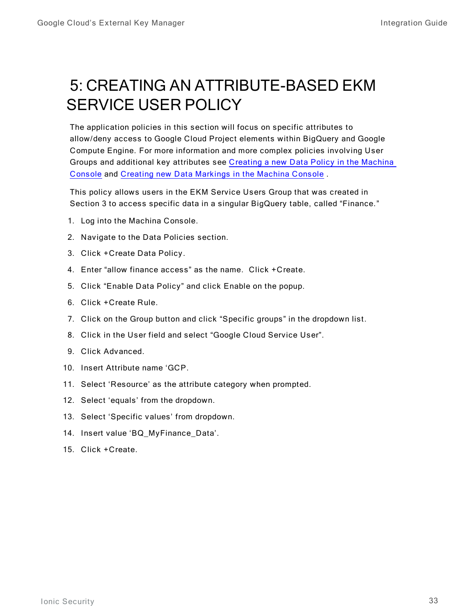# <span id="page-32-0"></span>5: CREATING AN ATTRIBUTE-BASED EKM SERVICE USER POLICY

The application policies in this section will focus on specific attributes to allow/deny access to Google Cloud Project elements within BigQuery and Google Compute Engine. For more information and more complex policies involving User Groups and additional key attributes see Creating a new Data Policy in the Machina [Console](https://support.ionic.com/hc/en-us/articles/360043107993-Creating-a-new-Data-Policy-in-the-Machina-Console) and Creating new Data Markings in the Machina Console.

This policy allows users in the EKM Service Users Group that was created in Section 3 to access specific data in a singular BigQuery table, called "Finance."

- 1. Log into the Machina Console.
- 2. Navigate to the Data Policies section.
- 3. Click + Create Data Policy.
- 4. Enter "allow finance access" as the name. Click +Create.
- 5. Click "Enable Data Policy" and click Enable on the popup.
- 6. Click + Create Rule.
- 7. Click on the Group button and click "Specific groups" in the dropdown list.
- 8. Click in the User field and select "Google Cloud Service User".
- 9. Click Advanced.
- 10. Insert Attribute name 'GCP.
- 11. Select 'Resource' as the attribute category when prompted.
- 12. Select 'equals' from the dropdown.
- 13. Select 'Specific values' from dropdown.
- 14. Insert value 'BQ\_MyFinance\_Data'.
- 15. Click + Create.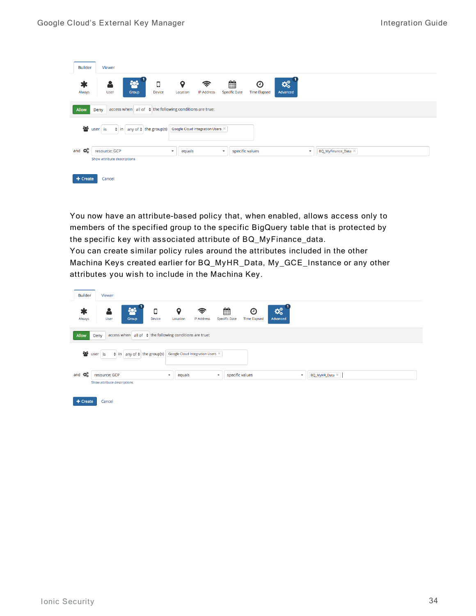| <b>Builder</b><br>Viewer                                                                                                                                                            |  |
|-------------------------------------------------------------------------------------------------------------------------------------------------------------------------------------|--|
| ▦<br><b>POL</b><br>ಧ್ಯ<br>$\ast$<br>О<br>9<br>ি<br>O<br>А<br><b>Specific Date</b><br>Always<br>Device<br>IP Address<br><b>Time Elapsed</b><br>Advanced<br>User<br>Group<br>Location |  |
| access when $ $ all of $\phi$ the following conditions are true:<br>Allow<br>Deny                                                                                                   |  |
| န္လာ<br>Google Cloud Integration Users X<br>$\frac{1}{2}$ in any of $\frac{1}{2}$ the group(s)<br>user is                                                                           |  |
| ೦೦<br>and<br>resource: GCP<br>specific values<br>BQ_MyFinance_Data $\times$<br>$\cdot$<br>$\overline{\phantom{a}}$<br>equals<br>$\overline{\phantom{a}}$                            |  |
| Show attribute descriptions<br>Cancel<br>$+$ Create                                                                                                                                 |  |

You now have an attribute-based policy that, when enabled, allows access only to members of the specified group to the specific BigQuery table that is protected by the specific key with associated attribute of BQ\_MyFinance\_data. You can create similar policy rules around the attributes included in the other Machina Keys created earlier for BQ\_MyHR\_Data, My\_GCE\_Instance or any other attributes you wish to include in the Machina Key.

| <b>Builder</b> | Viewer                                                                   |                                        |                                  |                           |                          |                                     |                                       |  |
|----------------|--------------------------------------------------------------------------|----------------------------------------|----------------------------------|---------------------------|--------------------------|-------------------------------------|---------------------------------------|--|
| Always         | 503<br>쓰<br>User<br>Group                                                | О<br>$\mathbf Q$<br>Device<br>Location | ミ<br><b>IP Address</b>           | 雦<br><b>Specific Date</b> | ⊙<br><b>Time Elapsed</b> | $\mathbf{Q}_k^{\alpha}$<br>Advanced |                                       |  |
| <b>Allow</b>   | access when $ $ all of $\phi$ the following conditions are true:<br>Deny |                                        |                                  |                           |                          |                                     |                                       |  |
| ÷es            | $\frac{1}{2}$ in any of $\frac{1}{2}$ the group(s)<br>user is            |                                        | Google Cloud Integration Users X |                           |                          |                                     |                                       |  |
| OG.<br>and     | resource: GCP<br>Show attribute descriptions                             | $\mathbf{v}$                           | equals                           | $\blacktriangledown$      | specific values          |                                     | BQ_MyHR_Data $\times$<br>$\checkmark$ |  |
| + Create       | Cancel                                                                   |                                        |                                  |                           |                          |                                     |                                       |  |